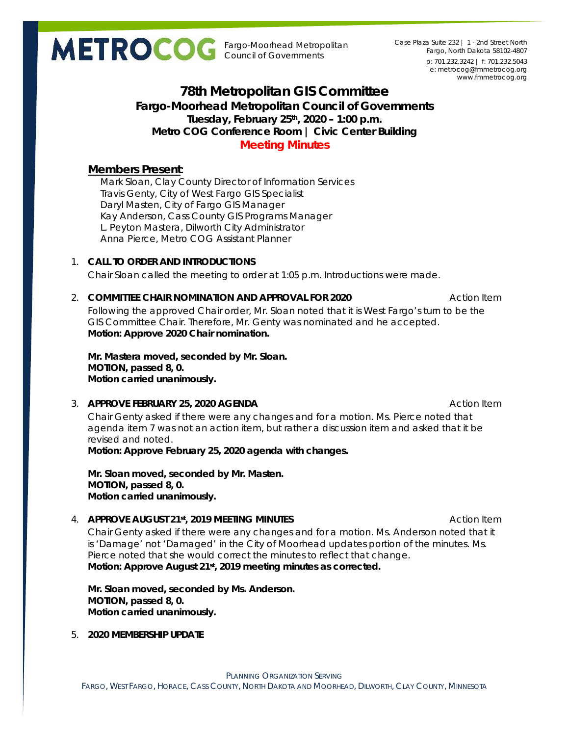Fargo-Moorhead Metropolitan Council of Governments

p: 701.232.3242 | f: 701.232.5043 e: metrocog@fmmetrocog.org www.fmmetrocog.org Case Plaza Suite 232 | 1 - 2nd Street North Fargo, North Dakota 58102-4807

# **78th Metropolitan GIS Committee Fargo-Moorhead Metropolitan Council of Governments Tuesday, February 25th, 2020 – 1:00 p.m. Metro COG Conference Room | Civic Center Building Meeting Minutes**

# **Members Present**:

Mark Sloan, Clay County Director of Information Services Travis Genty, City of West Fargo GIS Specialist Daryl Masten, City of Fargo GIS Manager Kay Anderson, Cass County GIS Programs Manager L. Peyton Mastera, Dilworth City Administrator Anna Pierce, Metro COG Assistant Planner

## 1. **CALL TO ORDER AND INTRODUCTIONS**

Chair Sloan called the meeting to order at 1:05 p.m. Introductions were made.

## 2. **COMMITTEE CHAIR NOMINATION AND APPROVAL FOR 2020** Action Item

Following the approved Chair order, Mr. Sloan noted that it is West Fargo's turn to be the GIS Committee Chair. Therefore, Mr. Genty was nominated and he accepted. **Motion: Approve 2020 Chair nomination.**

**Mr. Mastera moved, seconded by Mr. Sloan. MOTION, passed 8, 0. Motion carried unanimously.** 

### 3. **APPROVE FEBRUARY 25, 2020 AGENDA Action Item** Action Item

Chair Genty asked if there were any changes and for a motion. Ms. Pierce noted that agenda item 7 was not an action item, but rather a discussion item and asked that it be revised and noted.

**Motion: Approve February 25, 2020 agenda with changes.**

**Mr. Sloan moved, seconded by Mr. Masten. MOTION, passed 8, 0. Motion carried unanimously.** 

## 4. **APPROVE AUGUST 21st, 2019 MEETING MINUTES** ACTION **Action Item**

Chair Genty asked if there were any changes and for a motion. Ms. Anderson noted that it is 'Damage' not 'Damaged' in the City of Moorhead updates portion of the minutes. Ms. Pierce noted that she would correct the minutes to reflect that change. **Motion: Approve August 21st, 2019 meeting minutes as corrected.**

**Mr. Sloan moved, seconded by Ms. Anderson. MOTION, passed 8, 0. Motion carried unanimously.** 

5. **2020 MEMBERSHIP UPDATE**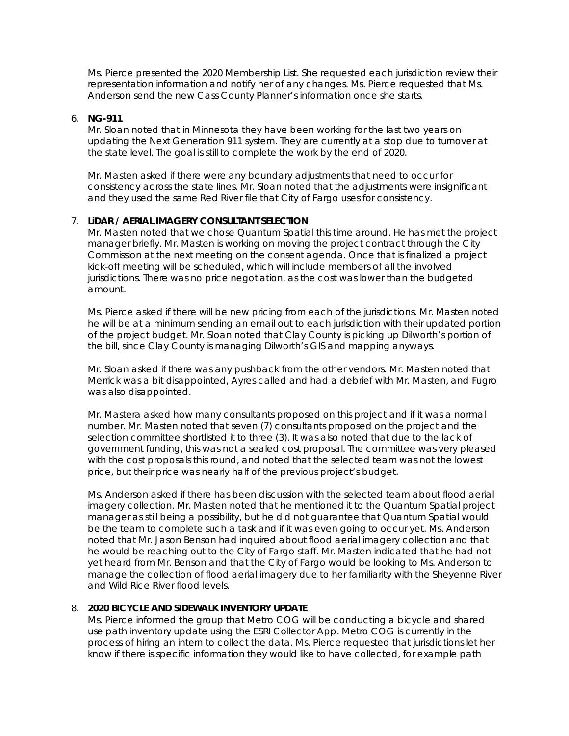Ms. Pierce presented the 2020 Membership List. She requested each jurisdiction review their representation information and notify her of any changes. Ms. Pierce requested that Ms. Anderson send the new Cass County Planner's information once she starts.

### 6. **NG-911**

Mr. Sloan noted that in Minnesota they have been working for the last two years on updating the Next Generation 911 system. They are currently at a stop due to turnover at the state level. The goal is still to complete the work by the end of 2020.

Mr. Masten asked if there were any boundary adjustments that need to occur for consistency across the state lines. Mr. Sloan noted that the adjustments were insignificant and they used the same Red River file that City of Fargo uses for consistency.

### 7. **LiDAR / AERIAL IMAGERY CONSULTANT SELECTION**

Mr. Masten noted that we chose Quantum Spatial this time around. He has met the project manager briefly. Mr. Masten is working on moving the project contract through the City Commission at the next meeting on the consent agenda. Once that is finalized a project kick-off meeting will be scheduled, which will include members of all the involved jurisdictions. There was no price negotiation, as the cost was lower than the budgeted amount.

Ms. Pierce asked if there will be new pricing from each of the jurisdictions. Mr. Masten noted he will be at a minimum sending an email out to each jurisdiction with their updated portion of the project budget. Mr. Sloan noted that Clay County is picking up Dilworth's portion of the bill, since Clay County is managing Dilworth's GIS and mapping anyways.

Mr. Sloan asked if there was any pushback from the other vendors. Mr. Masten noted that Merrick was a bit disappointed, Ayres called and had a debrief with Mr. Masten, and Fugro was also disappointed.

Mr. Mastera asked how many consultants proposed on this project and if it was a normal number. Mr. Masten noted that seven (7) consultants proposed on the project and the selection committee shortlisted it to three (3). It was also noted that due to the lack of government funding, this was not a sealed cost proposal. The committee was very pleased with the cost proposals this round, and noted that the selected team was not the lowest price, but their price was nearly half of the previous project's budget.

Ms. Anderson asked if there has been discussion with the selected team about flood aerial imagery collection. Mr. Masten noted that he mentioned it to the Quantum Spatial project manager as still being a possibility, but he did not guarantee that Quantum Spatial would be the team to complete such a task and if it was even going to occur yet. Ms. Anderson noted that Mr. Jason Benson had inquired about flood aerial imagery collection and that he would be reaching out to the City of Fargo staff. Mr. Masten indicated that he had not yet heard from Mr. Benson and that the City of Fargo would be looking to Ms. Anderson to manage the collection of flood aerial imagery due to her familiarity with the Sheyenne River and Wild Rice River flood levels.

### 8. **2020 BICYCLE AND SIDEWALK INVENTORY UPDATE**

Ms. Pierce informed the group that Metro COG will be conducting a bicycle and shared use path inventory update using the ESRI Collector App. Metro COG is currently in the process of hiring an intern to collect the data. Ms. Pierce requested that jurisdictions let her know if there is specific information they would like to have collected, for example path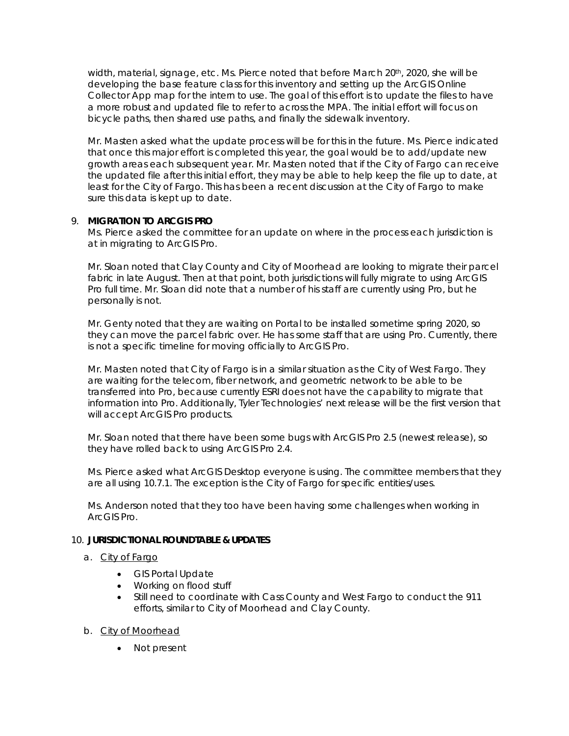width, material, signage, etc. Ms. Pierce noted that before March 20th, 2020, she will be developing the base feature class for this inventory and setting up the ArcGIS Online Collector App map for the intern to use. The goal of this effort is to update the files to have a more robust and updated file to refer to across the MPA. The initial effort will focus on bicycle paths, then shared use paths, and finally the sidewalk inventory.

Mr. Masten asked what the update process will be for this in the future. Ms. Pierce indicated that once this major effort is completed this year, the goal would be to add/update new growth areas each subsequent year. Mr. Masten noted that if the City of Fargo can receive the updated file after this initial effort, they may be able to help keep the file up to date, at least for the City of Fargo. This has been a recent discussion at the City of Fargo to make sure this data is kept up to date.

## 9. **MIGRATION TO ARCGIS PRO**

Ms. Pierce asked the committee for an update on where in the process each jurisdiction is at in migrating to ArcGIS Pro.

Mr. Sloan noted that Clay County and City of Moorhead are looking to migrate their parcel fabric in late August. Then at that point, both jurisdictions will fully migrate to using ArcGIS Pro full time. Mr. Sloan did note that a number of his staff are currently using Pro, but he personally is not.

Mr. Genty noted that they are waiting on Portal to be installed sometime spring 2020, so they can move the parcel fabric over. He has some staff that are using Pro. Currently, there is not a specific timeline for moving officially to ArcGIS Pro.

Mr. Masten noted that City of Fargo is in a similar situation as the City of West Fargo. They are waiting for the telecom, fiber network, and geometric network to be able to be transferred into Pro, because currently ESRI does not have the capability to migrate that information into Pro. Additionally, Tyler Technologies' next release will be the first version that will accept ArcGIS Pro products.

Mr. Sloan noted that there have been some bugs with ArcGIS Pro 2.5 (newest release), so they have rolled back to using ArcGIS Pro 2.4.

Ms. Pierce asked what ArcGIS Desktop everyone is using. The committee members that they are all using 10.7.1. The exception is the City of Fargo for specific entities/uses.

Ms. Anderson noted that they too have been having some challenges when working in ArcGIS Pro.

### 10. **JURISDICTIONAL ROUNDTABLE & UPDATES**

### a. City of Fargo

- GIS Portal Update
- Working on flood stuff
- Still need to coordinate with Cass County and West Fargo to conduct the 911 efforts, similar to City of Moorhead and Clay County.
- b. City of Moorhead
	- Not present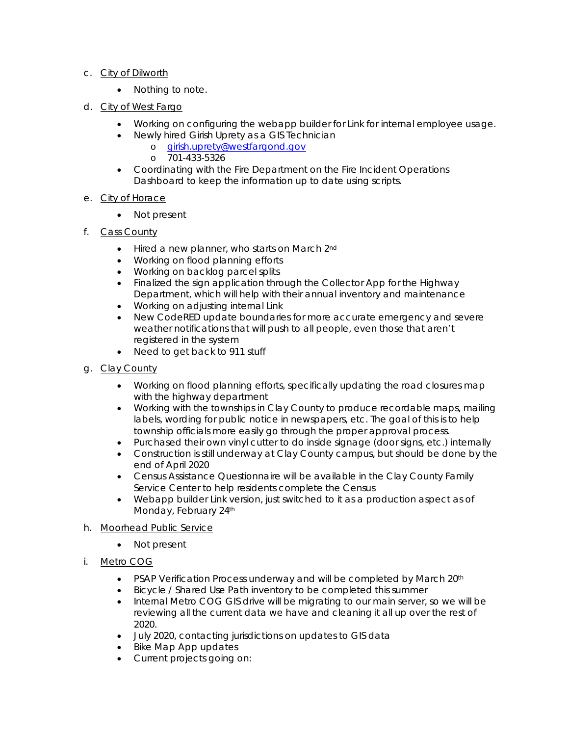## c. City of Dilworth

- Nothing to note.
- d. City of West Fargo
	- Working on configuring the webapp builder for Link for internal employee usage.
		- Newly hired Girish Uprety as a GIS Technician
			- o girish.uprety@westfargond.gov
			- o 701-433-5326
	- Coordinating with the Fire Department on the Fire Incident Operations Dashboard to keep the information up to date using scripts.

## e. City of Horace

- Not present
- f. Cass County
	- Hired a new planner, who starts on March 2<sup>nd</sup>
	- Working on flood planning efforts
	- Working on backlog parcel splits
	- Finalized the sign application through the Collector App for the Highway Department, which will help with their annual inventory and maintenance
	- Working on adjusting internal Link
	- New CodeRED update boundaries for more accurate emergency and severe weather notifications that will push to all people, even those that aren't registered in the system
	- Need to get back to 911 stuff
- g. Clay County
	- Working on flood planning efforts, specifically updating the road closures map with the highway department
	- Working with the townships in Clay County to produce recordable maps, mailing labels, wording for public notice in newspapers, etc. The goal of this is to help township officials more easily go through the proper approval process.
	- Purchased their own vinyl cutter to do inside signage (door signs, etc.) internally
	- Construction is still underway at Clay County campus, but should be done by the end of April 2020
	- Census Assistance Questionnaire will be available in the Clay County Family Service Center to help residents complete the Census
	- Webapp builder Link version, just switched to it as a production aspect as of Monday, February 24th
- h. Moorhead Public Service
	- Not present
- i. Metro COG
	- PSAP Verification Process underway and will be completed by March 20<sup>th</sup>
	- Bicycle / Shared Use Path inventory to be completed this summer
	- Internal Metro COG GIS drive will be migrating to our main server, so we will be reviewing all the current data we have and cleaning it all up over the rest of 2020.
	- July 2020, contacting jurisdictions on updates to GIS data
	- Bike Map App updates
	- Current projects going on: